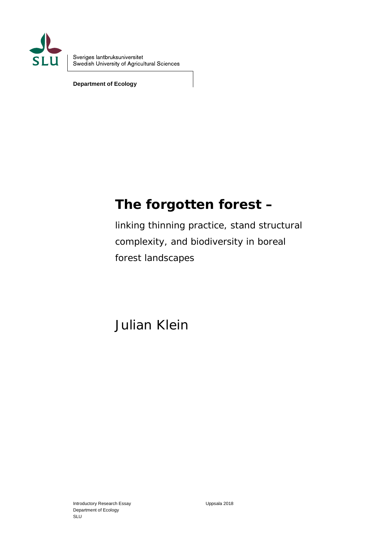

Sveriges lantbruksuniversitet Swedish University of Agricultural Sciences

**Department of Ecology**

# **The forgotten forest –**

linking thinning practice, stand structural complexity, and biodiversity in boreal forest landscapes

Julian Klein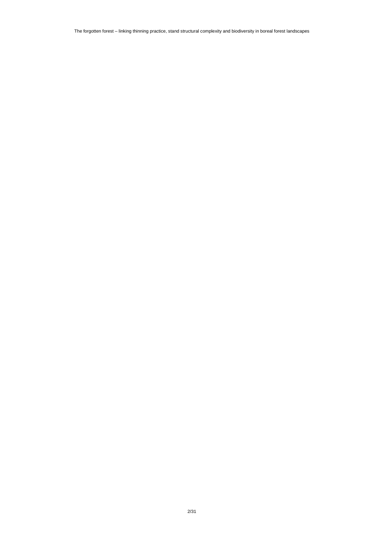The forgotten forest – linking thinning practice, stand structural complexity and biodiversity in boreal forest landscapes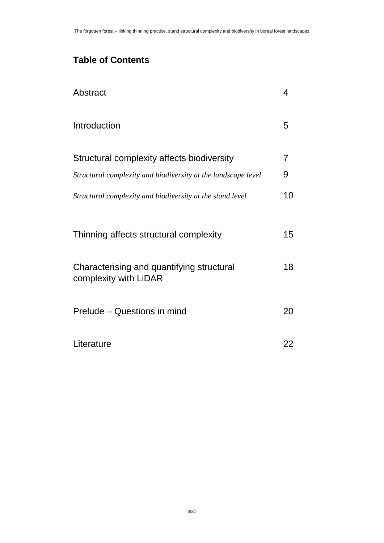## **Table of Contents**

| Abstract                                                           | 4  |
|--------------------------------------------------------------------|----|
| Introduction                                                       | 5  |
| Structural complexity affects biodiversity                         | 7  |
| Structural complexity and biodiversity at the landscape level      | 9  |
| Structural complexity and biodiversity at the stand level          | 10 |
| Thinning affects structural complexity                             | 15 |
| Characterising and quantifying structural<br>complexity with LiDAR | 18 |
| Prelude – Questions in mind                                        | 20 |
| Literature                                                         | 22 |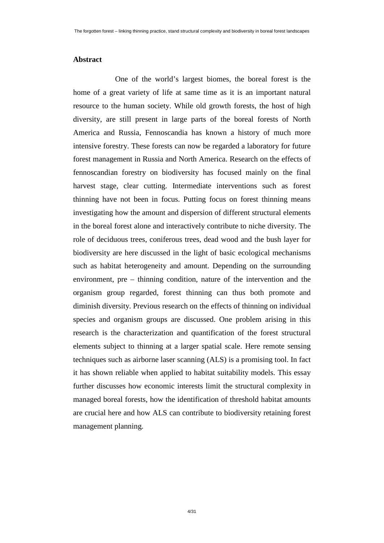#### **Abstract**

One of the world's largest biomes, the boreal forest is the home of a great variety of life at same time as it is an important natural resource to the human society. While old growth forests, the host of high diversity, are still present in large parts of the boreal forests of North America and Russia, Fennoscandia has known a history of much more intensive forestry. These forests can now be regarded a laboratory for future forest management in Russia and North America. Research on the effects of fennoscandian forestry on biodiversity has focused mainly on the final harvest stage, clear cutting. Intermediate interventions such as forest thinning have not been in focus. Putting focus on forest thinning means investigating how the amount and dispersion of different structural elements in the boreal forest alone and interactively contribute to niche diversity. The role of deciduous trees, coniferous trees, dead wood and the bush layer for biodiversity are here discussed in the light of basic ecological mechanisms such as habitat heterogeneity and amount. Depending on the surrounding environment, pre – thinning condition, nature of the intervention and the organism group regarded, forest thinning can thus both promote and diminish diversity. Previous research on the effects of thinning on individual species and organism groups are discussed. One problem arising in this research is the characterization and quantification of the forest structural elements subject to thinning at a larger spatial scale. Here remote sensing techniques such as airborne laser scanning (ALS) is a promising tool. In fact it has shown reliable when applied to habitat suitability models. This essay further discusses how economic interests limit the structural complexity in managed boreal forests, how the identification of threshold habitat amounts are crucial here and how ALS can contribute to biodiversity retaining forest management planning.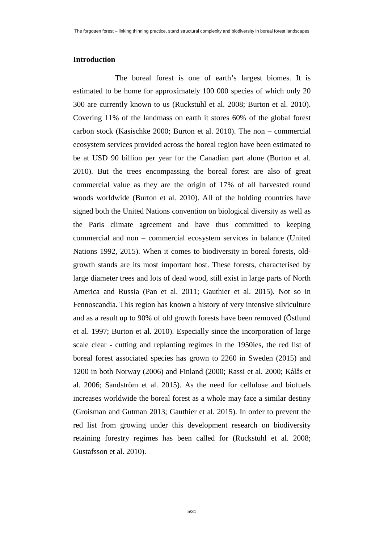#### **Introduction**

The boreal forest is one of earth's largest biomes. It is estimated to be home for approximately 100 000 species of which only 20 300 are currently known to us (Ruckstuhl et al. 2008; Burton et al. 2010). Covering 11% of the landmass on earth it stores 60% of the global forest carbon stock (Kasischke 2000; Burton et al. 2010). The non – commercial ecosystem services provided across the boreal region have been estimated to be at USD 90 billion per year for the Canadian part alone (Burton et al. 2010). But the trees encompassing the boreal forest are also of great commercial value as they are the origin of 17% of all harvested round woods worldwide (Burton et al. 2010). All of the holding countries have signed both the United Nations convention on biological diversity as well as the Paris climate agreement and have thus committed to keeping commercial and non – commercial ecosystem services in balance (United Nations 1992, 2015). When it comes to biodiversity in boreal forests, oldgrowth stands are its most important host. These forests, characterised by large diameter trees and lots of dead wood, still exist in large parts of North America and Russia (Pan et al. 2011; Gauthier et al. 2015). Not so in Fennoscandia. This region has known a history of very intensive silviculture and as a result up to 90% of old growth forests have been removed (Östlund et al. 1997; Burton et al. 2010). Especially since the incorporation of large scale clear - cutting and replanting regimes in the 1950ies, the red list of boreal forest associated species has grown to 2260 in Sweden (2015) and 1200 in both Norway (2006) and Finland (2000; Rassi et al. 2000; Kålås et al. 2006; Sandström et al. 2015). As the need for cellulose and biofuels increases worldwide the boreal forest as a whole may face a similar destiny (Groisman and Gutman 2013; Gauthier et al. 2015). In order to prevent the red list from growing under this development research on biodiversity retaining forestry regimes has been called for (Ruckstuhl et al. 2008; Gustafsson et al. 2010).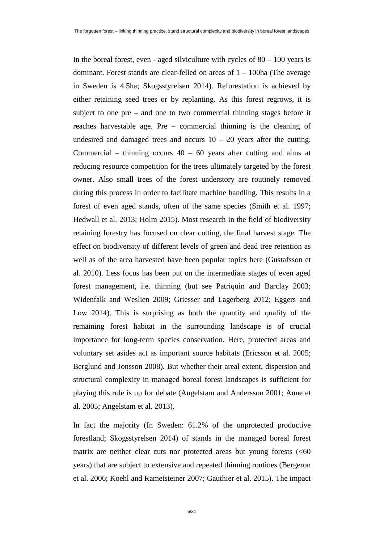In the boreal forest, even - aged silviculture with cycles of  $80 - 100$  years is dominant. Forest stands are clear-felled on areas of 1 – 100ha (The average in Sweden is 4.5ha; Skogsstyrelsen 2014). Reforestation is achieved by either retaining seed trees or by replanting. As this forest regrows, it is subject to one pre – and one to two commercial thinning stages before it reaches harvestable age. Pre – commercial thinning is the cleaning of undesired and damaged trees and occurs  $10 - 20$  years after the cutting. Commercial – thinning occurs  $40 - 60$  years after cutting and aims at reducing resource competition for the trees ultimately targeted by the forest owner. Also small trees of the forest understory are routinely removed during this process in order to facilitate machine handling. This results in a forest of even aged stands, often of the same species (Smith et al. 1997; Hedwall et al. 2013; Holm 2015). Most research in the field of biodiversity retaining forestry has focused on clear cutting, the final harvest stage. The effect on biodiversity of different levels of green and dead tree retention as well as of the area harvested have been popular topics here (Gustafsson et al. 2010). Less focus has been put on the intermediate stages of even aged forest management, i.e. thinning (but see Patriquin and Barclay 2003; Widenfalk and Weslien 2009; Griesser and Lagerberg 2012; Eggers and Low 2014). This is surprising as both the quantity and quality of the remaining forest habitat in the surrounding landscape is of crucial importance for long-term species conservation. Here, protected areas and voluntary set asides act as important source habitats (Ericsson et al. 2005; Berglund and Jonsson 2008). But whether their areal extent, dispersion and structural complexity in managed boreal forest landscapes is sufficient for playing this role is up for debate (Angelstam and Andersson 2001; Aune et al. 2005; Angelstam et al. 2013).

In fact the majority (In Sweden: 61.2% of the unprotected productive forestland; Skogsstyrelsen 2014) of stands in the managed boreal forest matrix are neither clear cuts nor protected areas but young forests  $(< 60$ years) that are subject to extensive and repeated thinning routines (Bergeron et al. 2006; Koehl and Rametsteiner 2007; Gauthier et al. 2015). The impact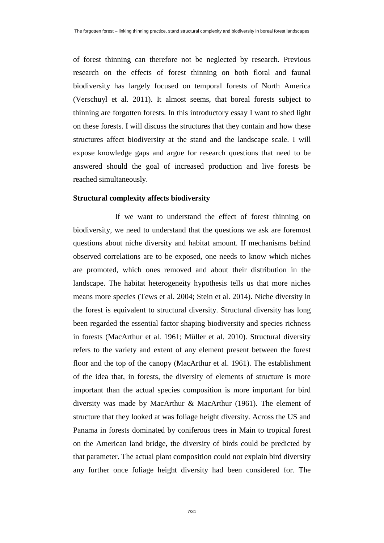of forest thinning can therefore not be neglected by research. Previous research on the effects of forest thinning on both floral and faunal biodiversity has largely focused on temporal forests of North America (Verschuyl et al. 2011). It almost seems, that boreal forests subject to thinning are forgotten forests. In this introductory essay I want to shed light on these forests. I will discuss the structures that they contain and how these structures affect biodiversity at the stand and the landscape scale. I will expose knowledge gaps and argue for research questions that need to be answered should the goal of increased production and live forests be reached simultaneously.

#### **Structural complexity affects biodiversity**

If we want to understand the effect of forest thinning on biodiversity, we need to understand that the questions we ask are foremost questions about niche diversity and habitat amount. If mechanisms behind observed correlations are to be exposed, one needs to know which niches are promoted, which ones removed and about their distribution in the landscape. The habitat heterogeneity hypothesis tells us that more niches means more species (Tews et al. 2004; Stein et al. 2014). Niche diversity in the forest is equivalent to structural diversity. Structural diversity has long been regarded the essential factor shaping biodiversity and species richness in forests (MacArthur et al. 1961; Müller et al. 2010). Structural diversity refers to the variety and extent of any element present between the forest floor and the top of the canopy (MacArthur et al. 1961). The establishment of the idea that, in forests, the diversity of elements of structure is more important than the actual species composition is more important for bird diversity was made by MacArthur & MacArthur (1961). The element of structure that they looked at was foliage height diversity. Across the US and Panama in forests dominated by coniferous trees in Main to tropical forest on the American land bridge, the diversity of birds could be predicted by that parameter. The actual plant composition could not explain bird diversity any further once foliage height diversity had been considered for. The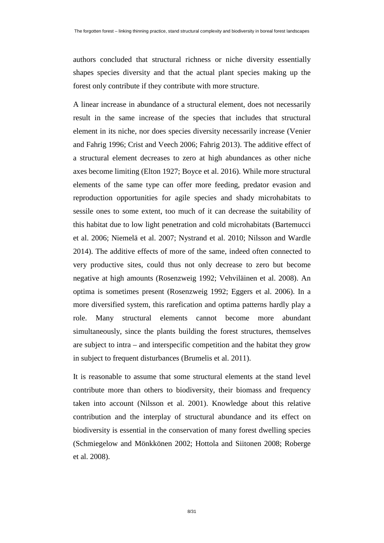authors concluded that structural richness or niche diversity essentially shapes species diversity and that the actual plant species making up the forest only contribute if they contribute with more structure.

A linear increase in abundance of a structural element, does not necessarily result in the same increase of the species that includes that structural element in its niche, nor does species diversity necessarily increase (Venier and Fahrig 1996; Crist and Veech 2006; Fahrig 2013). The additive effect of a structural element decreases to zero at high abundances as other niche axes become limiting (Elton 1927; Boyce et al. 2016). While more structural elements of the same type can offer more feeding, predator evasion and reproduction opportunities for agile species and shady microhabitats to sessile ones to some extent, too much of it can decrease the suitability of this habitat due to low light penetration and cold microhabitats (Bartemucci et al. 2006; Niemelä et al. 2007; Nystrand et al. 2010; Nilsson and Wardle 2014). The additive effects of more of the same, indeed often connected to very productive sites, could thus not only decrease to zero but become negative at high amounts (Rosenzweig 1992; Vehviläinen et al. 2008). An optima is sometimes present (Rosenzweig 1992; Eggers et al. 2006). In a more diversified system, this rarefication and optima patterns hardly play a role. Many structural elements cannot become more abundant simultaneously, since the plants building the forest structures, themselves are subject to intra – and interspecific competition and the habitat they grow in subject to frequent disturbances (Brumelis et al. 2011).

It is reasonable to assume that some structural elements at the stand level contribute more than others to biodiversity, their biomass and frequency taken into account (Nilsson et al. 2001). Knowledge about this relative contribution and the interplay of structural abundance and its effect on biodiversity is essential in the conservation of many forest dwelling species (Schmiegelow and Mönkkönen 2002; Hottola and Siitonen 2008; Roberge et al. 2008).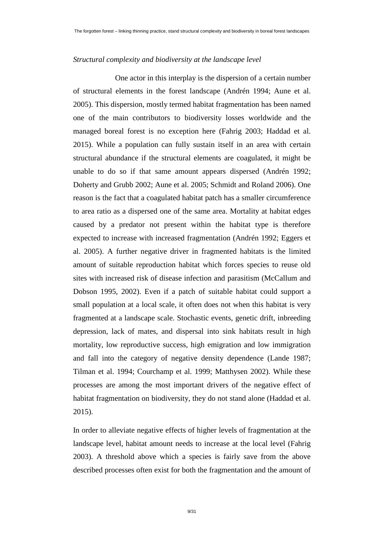#### *Structural complexity and biodiversity at the landscape level*

One actor in this interplay is the dispersion of a certain number of structural elements in the forest landscape (Andrén 1994; Aune et al. 2005). This dispersion, mostly termed habitat fragmentation has been named one of the main contributors to biodiversity losses worldwide and the managed boreal forest is no exception here (Fahrig 2003; Haddad et al. 2015). While a population can fully sustain itself in an area with certain structural abundance if the structural elements are coagulated, it might be unable to do so if that same amount appears dispersed (Andrén 1992; Doherty and Grubb 2002; Aune et al. 2005; Schmidt and Roland 2006). One reason is the fact that a coagulated habitat patch has a smaller circumference to area ratio as a dispersed one of the same area. Mortality at habitat edges caused by a predator not present within the habitat type is therefore expected to increase with increased fragmentation (Andrén 1992; Eggers et al. 2005). A further negative driver in fragmented habitats is the limited amount of suitable reproduction habitat which forces species to reuse old sites with increased risk of disease infection and parasitism (McCallum and Dobson 1995, 2002). Even if a patch of suitable habitat could support a small population at a local scale, it often does not when this habitat is very fragmented at a landscape scale. Stochastic events, genetic drift, inbreeding depression, lack of mates, and dispersal into sink habitats result in high mortality, low reproductive success, high emigration and low immigration and fall into the category of negative density dependence (Lande 1987; Tilman et al. 1994; Courchamp et al. 1999; Matthysen 2002). While these processes are among the most important drivers of the negative effect of habitat fragmentation on biodiversity, they do not stand alone (Haddad et al. 2015).

In order to alleviate negative effects of higher levels of fragmentation at the landscape level, habitat amount needs to increase at the local level (Fahrig 2003). A threshold above which a species is fairly save from the above described processes often exist for both the fragmentation and the amount of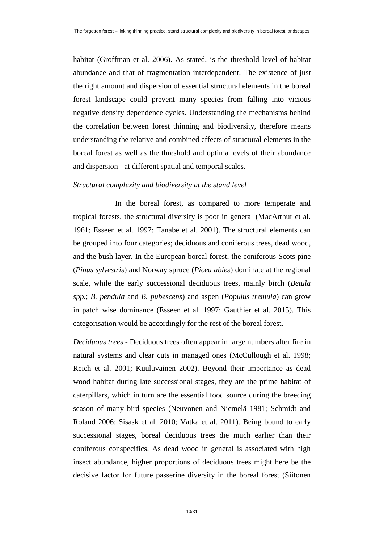habitat (Groffman et al. 2006). As stated, is the threshold level of habitat abundance and that of fragmentation interdependent. The existence of just the right amount and dispersion of essential structural elements in the boreal forest landscape could prevent many species from falling into vicious negative density dependence cycles. Understanding the mechanisms behind the correlation between forest thinning and biodiversity, therefore means understanding the relative and combined effects of structural elements in the boreal forest as well as the threshold and optima levels of their abundance and dispersion - at different spatial and temporal scales.

#### *Structural complexity and biodiversity at the stand level*

In the boreal forest, as compared to more temperate and tropical forests, the structural diversity is poor in general (MacArthur et al. 1961; Esseen et al. 1997; Tanabe et al. 2001). The structural elements can be grouped into four categories; deciduous and coniferous trees, dead wood, and the bush layer. In the European boreal forest, the coniferous Scots pine (*Pinus sylvestris*) and Norway spruce (*Picea abies*) dominate at the regional scale, while the early successional deciduous trees, mainly birch (*Betula spp.*; *B. pendula* and *B. pubescens*) and aspen (*Populus tremula*) can grow in patch wise dominance (Esseen et al. 1997; Gauthier et al. 2015). This categorisation would be accordingly for the rest of the boreal forest.

*Deciduous trees -* Deciduous trees often appear in large numbers after fire in natural systems and clear cuts in managed ones (McCullough et al. 1998; Reich et al. 2001; Kuuluvainen 2002). Beyond their importance as dead wood habitat during late successional stages, they are the prime habitat of caterpillars, which in turn are the essential food source during the breeding season of many bird species (Neuvonen and Niemelä 1981; Schmidt and Roland 2006; Sisask et al. 2010; Vatka et al. 2011). Being bound to early successional stages, boreal deciduous trees die much earlier than their coniferous conspecifics. As dead wood in general is associated with high insect abundance, higher proportions of deciduous trees might here be the decisive factor for future passerine diversity in the boreal forest (Siitonen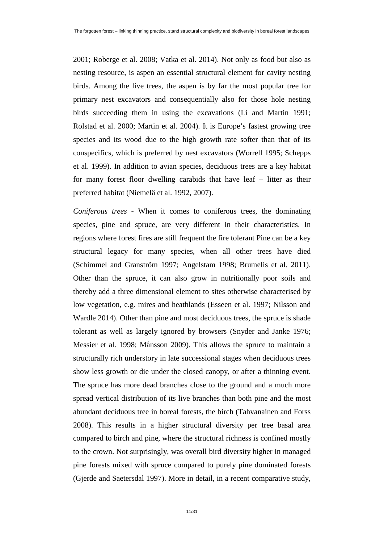2001; Roberge et al. 2008; Vatka et al. 2014). Not only as food but also as nesting resource, is aspen an essential structural element for cavity nesting birds. Among the live trees, the aspen is by far the most popular tree for primary nest excavators and consequentially also for those hole nesting birds succeeding them in using the excavations (Li and Martin 1991; Rolstad et al. 2000; Martin et al. 2004). It is Europe's fastest growing tree species and its wood due to the high growth rate softer than that of its conspecifics, which is preferred by nest excavators (Worrell 1995; Schepps et al. 1999). In addition to avian species, deciduous trees are a key habitat for many forest floor dwelling carabids that have leaf – litter as their preferred habitat (Niemelä et al. 1992, 2007).

*Coniferous trees -* When it comes to coniferous trees, the dominating species, pine and spruce, are very different in their characteristics. In regions where forest fires are still frequent the fire tolerant Pine can be a key structural legacy for many species, when all other trees have died (Schimmel and Granström 1997; Angelstam 1998; Brumelis et al. 2011). Other than the spruce, it can also grow in nutritionally poor soils and thereby add a three dimensional element to sites otherwise characterised by low vegetation, e.g. mires and heathlands (Esseen et al. 1997; Nilsson and Wardle 2014). Other than pine and most deciduous trees, the spruce is shade tolerant as well as largely ignored by browsers (Snyder and Janke 1976; Messier et al. 1998; Månsson 2009). This allows the spruce to maintain a structurally rich understory in late successional stages when deciduous trees show less growth or die under the closed canopy, or after a thinning event. The spruce has more dead branches close to the ground and a much more spread vertical distribution of its live branches than both pine and the most abundant deciduous tree in boreal forests, the birch (Tahvanainen and Forss 2008). This results in a higher structural diversity per tree basal area compared to birch and pine, where the structural richness is confined mostly to the crown. Not surprisingly, was overall bird diversity higher in managed pine forests mixed with spruce compared to purely pine dominated forests (Gjerde and Saetersdal 1997). More in detail, in a recent comparative study,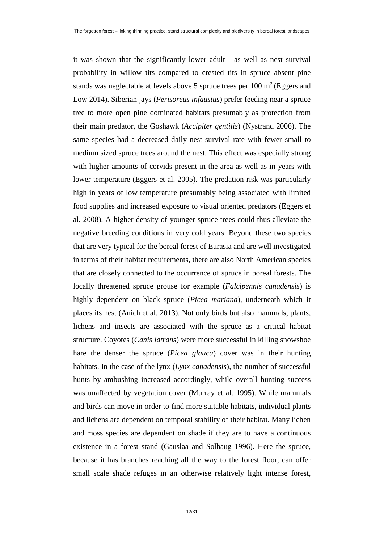it was shown that the significantly lower adult - as well as nest survival probability in willow tits compared to crested tits in spruce absent pine stands was neglectable at levels above 5 spruce trees per  $100 \text{ m}^2$  (Eggers and Low 2014). Siberian jays (*Perisoreus infaustus*) prefer feeding near a spruce tree to more open pine dominated habitats presumably as protection from their main predator, the Goshawk (*Accipiter gentilis*) (Nystrand 2006). The same species had a decreased daily nest survival rate with fewer small to medium sized spruce trees around the nest. This effect was especially strong with higher amounts of corvids present in the area as well as in years with lower temperature (Eggers et al. 2005). The predation risk was particularly high in years of low temperature presumably being associated with limited food supplies and increased exposure to visual oriented predators (Eggers et al. 2008). A higher density of younger spruce trees could thus alleviate the negative breeding conditions in very cold years. Beyond these two species that are very typical for the boreal forest of Eurasia and are well investigated in terms of their habitat requirements, there are also North American species that are closely connected to the occurrence of spruce in boreal forests. The locally threatened spruce grouse for example (*Falcipennis canadensis*) is highly dependent on black spruce (*Picea mariana*), underneath which it places its nest (Anich et al. 2013). Not only birds but also mammals, plants, lichens and insects are associated with the spruce as a critical habitat structure. Coyotes (*Canis latrans*) were more successful in killing snowshoe hare the denser the spruce (*Picea glauca*) cover was in their hunting habitats. In the case of the lynx (*Lynx canadensis*), the number of successful hunts by ambushing increased accordingly, while overall hunting success was unaffected by vegetation cover (Murray et al. 1995). While mammals and birds can move in order to find more suitable habitats, individual plants and lichens are dependent on temporal stability of their habitat. Many lichen and moss species are dependent on shade if they are to have a continuous existence in a forest stand (Gauslaa and Solhaug 1996). Here the spruce, because it has branches reaching all the way to the forest floor, can offer small scale shade refuges in an otherwise relatively light intense forest,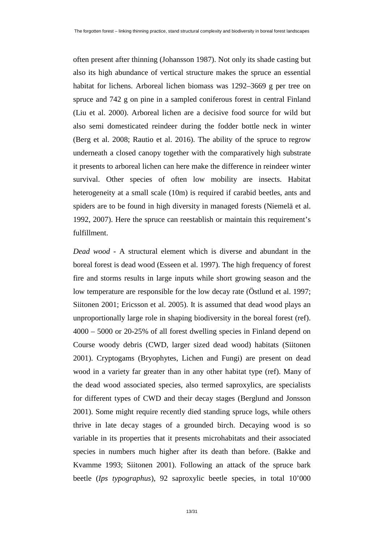often present after thinning (Johansson 1987). Not only its shade casting but also its high abundance of vertical structure makes the spruce an essential habitat for lichens. Arboreal lichen biomass was 1292–3669 g per tree on spruce and 742 g on pine in a sampled coniferous forest in central Finland (Liu et al. 2000). Arboreal lichen are a decisive food source for wild but also semi domesticated reindeer during the fodder bottle neck in winter (Berg et al. 2008; Rautio et al. 2016). The ability of the spruce to regrow underneath a closed canopy together with the comparatively high substrate it presents to arboreal lichen can here make the difference in reindeer winter survival. Other species of often low mobility are insects. Habitat heterogeneity at a small scale (10m) is required if carabid beetles, ants and spiders are to be found in high diversity in managed forests (Niemelä et al. 1992, 2007). Here the spruce can reestablish or maintain this requirement's fulfillment.

*Dead wood* - A structural element which is diverse and abundant in the boreal forest is dead wood (Esseen et al. 1997). The high frequency of forest fire and storms results in large inputs while short growing season and the low temperature are responsible for the low decay rate (Östlund et al. 1997; Siitonen 2001; Ericsson et al. 2005). It is assumed that dead wood plays an unproportionally large role in shaping biodiversity in the boreal forest (ref). 4000 – 5000 or 20-25% of all forest dwelling species in Finland depend on Course woody debris (CWD, larger sized dead wood) habitats (Siitonen 2001). Cryptogams (Bryophytes, Lichen and Fungi) are present on dead wood in a variety far greater than in any other habitat type (ref). Many of the dead wood associated species, also termed saproxylics, are specialists for different types of CWD and their decay stages (Berglund and Jonsson 2001). Some might require recently died standing spruce logs, while others thrive in late decay stages of a grounded birch. Decaying wood is so variable in its properties that it presents microhabitats and their associated species in numbers much higher after its death than before. (Bakke and Kvamme 1993; Siitonen 2001). Following an attack of the spruce bark beetle (*Ips typographus*), 92 saproxylic beetle species, in total 10'000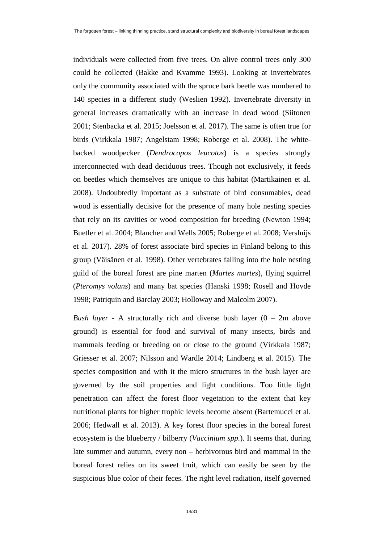individuals were collected from five trees. On alive control trees only 300 could be collected (Bakke and Kvamme 1993). Looking at invertebrates only the community associated with the spruce bark beetle was numbered to 140 species in a different study (Weslien 1992). Invertebrate diversity in general increases dramatically with an increase in dead wood (Siitonen 2001; Stenbacka et al. 2015; Joelsson et al. 2017). The same is often true for birds (Virkkala 1987; Angelstam 1998; Roberge et al. 2008). The whitebacked woodpecker (*Dendrocopos leucotos*) is a species strongly interconnected with dead deciduous trees. Though not exclusively, it feeds on beetles which themselves are unique to this habitat (Martikainen et al. 2008). Undoubtedly important as a substrate of bird consumables, dead wood is essentially decisive for the presence of many hole nesting species that rely on its cavities or wood composition for breeding (Newton 1994; Buetler et al. 2004; Blancher and Wells 2005; Roberge et al. 2008; Versluijs et al. 2017). 28% of forest associate bird species in Finland belong to this group (Väisänen et al. 1998). Other vertebrates falling into the hole nesting guild of the boreal forest are pine marten (*Martes martes*), flying squirrel (*Pteromys volans*) and many bat species (Hanski 1998; Rosell and Hovde 1998; Patriquin and Barclay 2003; Holloway and Malcolm 2007).

*Bush layer* - A structurally rich and diverse bush layer (0 – 2m above ground) is essential for food and survival of many insects, birds and mammals feeding or breeding on or close to the ground (Virkkala 1987; Griesser et al. 2007; Nilsson and Wardle 2014; Lindberg et al. 2015). The species composition and with it the micro structures in the bush layer are governed by the soil properties and light conditions. Too little light penetration can affect the forest floor vegetation to the extent that key nutritional plants for higher trophic levels become absent (Bartemucci et al. 2006; Hedwall et al. 2013). A key forest floor species in the boreal forest ecosystem is the blueberry / bilberry (*Vaccinium spp.*). It seems that, during late summer and autumn, every non – herbivorous bird and mammal in the boreal forest relies on its sweet fruit, which can easily be seen by the suspicious blue color of their feces. The right level radiation, itself governed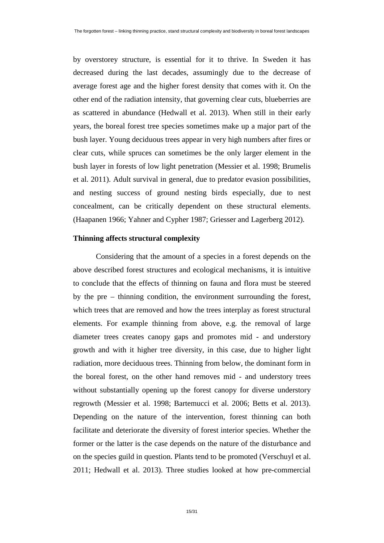by overstorey structure, is essential for it to thrive. In Sweden it has decreased during the last decades, assumingly due to the decrease of average forest age and the higher forest density that comes with it. On the other end of the radiation intensity, that governing clear cuts, blueberries are as scattered in abundance (Hedwall et al. 2013). When still in their early years, the boreal forest tree species sometimes make up a major part of the bush layer. Young deciduous trees appear in very high numbers after fires or clear cuts, while spruces can sometimes be the only larger element in the bush layer in forests of low light penetration (Messier et al. 1998; Brumelis et al. 2011). Adult survival in general, due to predator evasion possibilities, and nesting success of ground nesting birds especially, due to nest concealment, can be critically dependent on these structural elements. (Haapanen 1966; Yahner and Cypher 1987; Griesser and Lagerberg 2012).

#### **Thinning affects structural complexity**

Considering that the amount of a species in a forest depends on the above described forest structures and ecological mechanisms, it is intuitive to conclude that the effects of thinning on fauna and flora must be steered by the pre – thinning condition, the environment surrounding the forest, which trees that are removed and how the trees interplay as forest structural elements. For example thinning from above, e.g. the removal of large diameter trees creates canopy gaps and promotes mid - and understory growth and with it higher tree diversity, in this case, due to higher light radiation, more deciduous trees. Thinning from below, the dominant form in the boreal forest, on the other hand removes mid - and understory trees without substantially opening up the forest canopy for diverse understory regrowth (Messier et al. 1998; Bartemucci et al. 2006; Betts et al. 2013). Depending on the nature of the intervention, forest thinning can both facilitate and deteriorate the diversity of forest interior species. Whether the former or the latter is the case depends on the nature of the disturbance and on the species guild in question. Plants tend to be promoted (Verschuyl et al. 2011; Hedwall et al. 2013). Three studies looked at how pre-commercial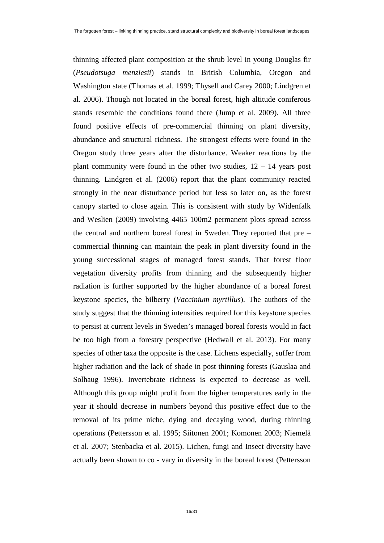thinning affected plant composition at the shrub level in young Douglas fir (*Pseudotsuga menziesii*) stands in British Columbia, Oregon and Washington state (Thomas et al. 1999; Thysell and Carey 2000; Lindgren et al. 2006). Though not located in the boreal forest, high altitude coniferous stands resemble the conditions found there (Jump et al. 2009). All three found positive effects of pre-commercial thinning on plant diversity, abundance and structural richness. The strongest effects were found in the Oregon study three years after the disturbance. Weaker reactions by the plant community were found in the other two studies,  $12 - 14$  years post thinning. Lindgren et al. (2006) report that the plant community reacted strongly in the near disturbance period but less so later on, as the forest canopy started to close again. This is consistent with study by Widenfalk and Weslien (2009) involving 4465 100m2 permanent plots spread across the central and northern boreal forest in Sweden. They reported that pre – commercial thinning can maintain the peak in plant diversity found in the young successional stages of managed forest stands. That forest floor vegetation diversity profits from thinning and the subsequently higher radiation is further supported by the higher abundance of a boreal forest keystone species, the bilberry (*Vaccinium myrtillus*). The authors of the study suggest that the thinning intensities required for this keystone species to persist at current levels in Sweden's managed boreal forests would in fact be too high from a forestry perspective (Hedwall et al. 2013). For many species of other taxa the opposite is the case. Lichens especially, suffer from higher radiation and the lack of shade in post thinning forests (Gauslaa and Solhaug 1996). Invertebrate richness is expected to decrease as well. Although this group might profit from the higher temperatures early in the year it should decrease in numbers beyond this positive effect due to the removal of its prime niche, dying and decaying wood, during thinning operations (Pettersson et al. 1995; Siitonen 2001; Komonen 2003; Niemelä et al. 2007; Stenbacka et al. 2015). Lichen, fungi and Insect diversity have actually been shown to co - vary in diversity in the boreal forest (Pettersson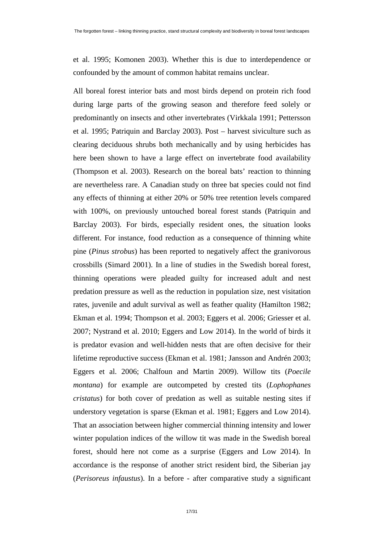et al. 1995; Komonen 2003). Whether this is due to interdependence or confounded by the amount of common habitat remains unclear.

All boreal forest interior bats and most birds depend on protein rich food during large parts of the growing season and therefore feed solely or predominantly on insects and other invertebrates (Virkkala 1991; Pettersson et al. 1995; Patriquin and Barclay 2003). Post – harvest siviculture such as clearing deciduous shrubs both mechanically and by using herbicides has here been shown to have a large effect on invertebrate food availability (Thompson et al. 2003). Research on the boreal bats' reaction to thinning are nevertheless rare. A Canadian study on three bat species could not find any effects of thinning at either 20% or 50% tree retention levels compared with 100%, on previously untouched boreal forest stands (Patriquin and Barclay 2003). For birds, especially resident ones, the situation looks different. For instance, food reduction as a consequence of thinning white pine (*Pinus strobus*) has been reported to negatively affect the granivorous crossbills (Simard 2001). In a line of studies in the Swedish boreal forest, thinning operations were pleaded guilty for increased adult and nest predation pressure as well as the reduction in population size, nest visitation rates, juvenile and adult survival as well as feather quality (Hamilton 1982; Ekman et al. 1994; Thompson et al. 2003; Eggers et al. 2006; Griesser et al. 2007; Nystrand et al. 2010; Eggers and Low 2014). In the world of birds it is predator evasion and well-hidden nests that are often decisive for their lifetime reproductive success (Ekman et al. 1981; Jansson and Andrén 2003; Eggers et al. 2006; Chalfoun and Martin 2009). Willow tits (*Poecile montana*) for example are outcompeted by crested tits (*Lophophanes cristatus*) for both cover of predation as well as suitable nesting sites if understory vegetation is sparse (Ekman et al. 1981; Eggers and Low 2014). That an association between higher commercial thinning intensity and lower winter population indices of the willow tit was made in the Swedish boreal forest, should here not come as a surprise (Eggers and Low 2014). In accordance is the response of another strict resident bird, the Siberian jay (*Perisoreus infaustus*). In a before - after comparative study a significant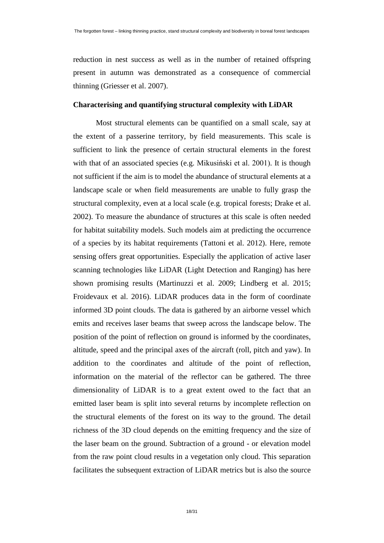reduction in nest success as well as in the number of retained offspring present in autumn was demonstrated as a consequence of commercial thinning (Griesser et al. 2007).

#### **Characterising and quantifying structural complexity with LiDAR**

Most structural elements can be quantified on a small scale, say at the extent of a passerine territory, by field measurements. This scale is sufficient to link the presence of certain structural elements in the forest with that of an associated species (e.g. Mikusiński et al. 2001). It is though not sufficient if the aim is to model the abundance of structural elements at a landscape scale or when field measurements are unable to fully grasp the structural complexity, even at a local scale (e.g. tropical forests; Drake et al. 2002). To measure the abundance of structures at this scale is often needed for habitat suitability models. Such models aim at predicting the occurrence of a species by its habitat requirements (Tattoni et al. 2012). Here, remote sensing offers great opportunities. Especially the application of active laser scanning technologies like LiDAR (Light Detection and Ranging) has here shown promising results (Martinuzzi et al. 2009; Lindberg et al. 2015; Froidevaux et al. 2016). LiDAR produces data in the form of coordinate informed 3D point clouds. The data is gathered by an airborne vessel which emits and receives laser beams that sweep across the landscape below. The position of the point of reflection on ground is informed by the coordinates, altitude, speed and the principal axes of the aircraft (roll, pitch and yaw). In addition to the coordinates and altitude of the point of reflection, information on the material of the reflector can be gathered. The three dimensionality of LiDAR is to a great extent owed to the fact that an emitted laser beam is split into several returns by incomplete reflection on the structural elements of the forest on its way to the ground. The detail richness of the 3D cloud depends on the emitting frequency and the size of the laser beam on the ground. Subtraction of a ground - or elevation model from the raw point cloud results in a vegetation only cloud. This separation facilitates the subsequent extraction of LiDAR metrics but is also the source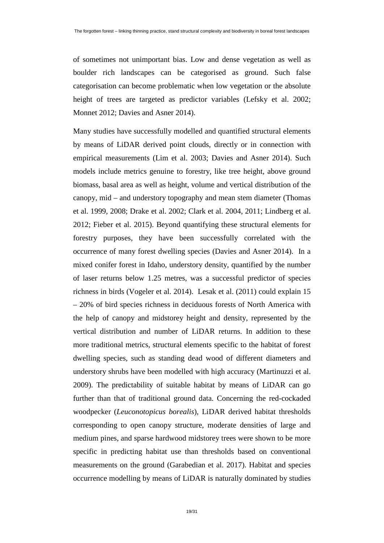of sometimes not unimportant bias. Low and dense vegetation as well as boulder rich landscapes can be categorised as ground. Such false categorisation can become problematic when low vegetation or the absolute height of trees are targeted as predictor variables (Lefsky et al. 2002; Monnet 2012; Davies and Asner 2014).

Many studies have successfully modelled and quantified structural elements by means of LiDAR derived point clouds, directly or in connection with empirical measurements (Lim et al. 2003; Davies and Asner 2014). Such models include metrics genuine to forestry, like tree height, above ground biomass, basal area as well as height, volume and vertical distribution of the canopy, mid – and understory topography and mean stem diameter (Thomas et al. 1999, 2008; Drake et al. 2002; Clark et al. 2004, 2011; Lindberg et al. 2012; Fieber et al. 2015). Beyond quantifying these structural elements for forestry purposes, they have been successfully correlated with the occurrence of many forest dwelling species (Davies and Asner 2014). In a mixed conifer forest in Idaho, understory density, quantified by the number of laser returns below 1.25 metres, was a successful predictor of species richness in birds (Vogeler et al. 2014). Lesak et al. (2011) could explain 15 – 20% of bird species richness in deciduous forests of North America with the help of canopy and midstorey height and density, represented by the vertical distribution and number of LiDAR returns. In addition to these more traditional metrics, structural elements specific to the habitat of forest dwelling species, such as standing dead wood of different diameters and understory shrubs have been modelled with high accuracy (Martinuzzi et al. 2009). The predictability of suitable habitat by means of LiDAR can go further than that of traditional ground data. Concerning the red-cockaded woodpecker (*Leuconotopicus borealis*), LiDAR derived habitat thresholds corresponding to open canopy structure, moderate densities of large and medium pines, and sparse hardwood midstorey trees were shown to be more specific in predicting habitat use than thresholds based on conventional measurements on the ground (Garabedian et al. 2017). Habitat and species occurrence modelling by means of LiDAR is naturally dominated by studies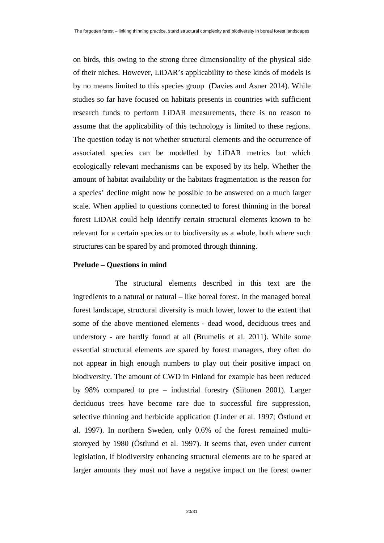on birds, this owing to the strong three dimensionality of the physical side of their niches. However, LiDAR's applicability to these kinds of models is by no means limited to this species group (Davies and Asner 2014). While studies so far have focused on habitats presents in countries with sufficient research funds to perform LiDAR measurements, there is no reason to assume that the applicability of this technology is limited to these regions. The question today is not whether structural elements and the occurrence of associated species can be modelled by LiDAR metrics but which ecologically relevant mechanisms can be exposed by its help. Whether the amount of habitat availability or the habitats fragmentation is the reason for a species' decline might now be possible to be answered on a much larger scale. When applied to questions connected to forest thinning in the boreal forest LiDAR could help identify certain structural elements known to be relevant for a certain species or to biodiversity as a whole, both where such structures can be spared by and promoted through thinning.

#### **Prelude – Questions in mind**

The structural elements described in this text are the ingredients to a natural or natural – like boreal forest. In the managed boreal forest landscape, structural diversity is much lower, lower to the extent that some of the above mentioned elements - dead wood, deciduous trees and understory - are hardly found at all (Brumelis et al. 2011). While some essential structural elements are spared by forest managers, they often do not appear in high enough numbers to play out their positive impact on biodiversity. The amount of CWD in Finland for example has been reduced by 98% compared to pre – industrial forestry (Siitonen 2001). Larger deciduous trees have become rare due to successful fire suppression, selective thinning and herbicide application (Linder et al. 1997; Östlund et al. 1997). In northern Sweden, only 0.6% of the forest remained multistoreyed by 1980 (Östlund et al. 1997). It seems that, even under current legislation, if biodiversity enhancing structural elements are to be spared at larger amounts they must not have a negative impact on the forest owner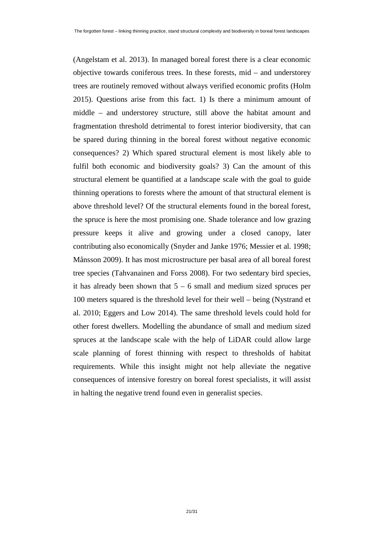(Angelstam et al. 2013). In managed boreal forest there is a clear economic objective towards coniferous trees. In these forests, mid – and understorey trees are routinely removed without always verified economic profits (Holm 2015). Questions arise from this fact. 1) Is there a minimum amount of middle – and understorey structure, still above the habitat amount and fragmentation threshold detrimental to forest interior biodiversity, that can be spared during thinning in the boreal forest without negative economic consequences? 2) Which spared structural element is most likely able to fulfil both economic and biodiversity goals? 3) Can the amount of this structural element be quantified at a landscape scale with the goal to guide thinning operations to forests where the amount of that structural element is above threshold level? Of the structural elements found in the boreal forest, the spruce is here the most promising one. Shade tolerance and low grazing pressure keeps it alive and growing under a closed canopy, later contributing also economically (Snyder and Janke 1976; Messier et al. 1998; Månsson 2009). It has most microstructure per basal area of all boreal forest tree species (Tahvanainen and Forss 2008). For two sedentary bird species, it has already been shown that  $5 - 6$  small and medium sized spruces per 100 meters squared is the threshold level for their well – being (Nystrand et al. 2010; Eggers and Low 2014). The same threshold levels could hold for other forest dwellers. Modelling the abundance of small and medium sized spruces at the landscape scale with the help of LiDAR could allow large scale planning of forest thinning with respect to thresholds of habitat requirements. While this insight might not help alleviate the negative consequences of intensive forestry on boreal forest specialists, it will assist in halting the negative trend found even in generalist species.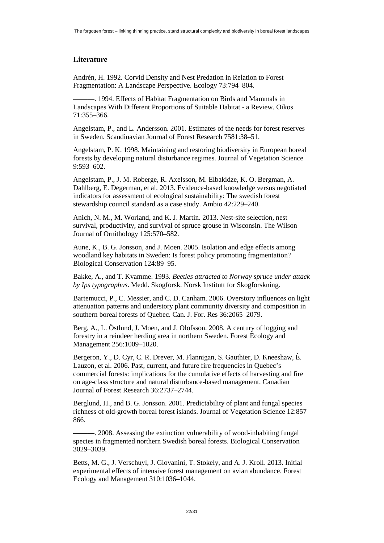### **Literature**

Andrén, H. 1992. Corvid Density and Nest Predation in Relation to Forest Fragmentation: A Landscape Perspective. Ecology 73:794–804.

———. 1994. Effects of Habitat Fragmentation on Birds and Mammals in Landscapes With Different Proportions of Suitable Habitat - a Review. Oikos 71:355–366.

Angelstam, P., and L. Andersson. 2001. Estimates of the needs for forest reserves in Sweden. Scandinavian Journal of Forest Research 7581:38–51.

Angelstam, P. K. 1998. Maintaining and restoring biodiversity in European boreal forests by developing natural disturbance regimes. Journal of Vegetation Science 9:593–602.

Angelstam, P., J. M. Roberge, R. Axelsson, M. Elbakidze, K. O. Bergman, A. Dahlberg, E. Degerman, et al. 2013. Evidence-based knowledge versus negotiated indicators for assessment of ecological sustainability: The swedish forest stewardship council standard as a case study. Ambio 42:229–240.

Anich, N. M., M. Worland, and K. J. Martin. 2013. Nest-site selection, nest survival, productivity, and survival of spruce grouse in Wisconsin. The Wilson Journal of Ornithology 125:570–582.

Aune, K., B. G. Jonsson, and J. Moen. 2005. Isolation and edge effects among woodland key habitats in Sweden: Is forest policy promoting fragmentation? Biological Conservation 124:89–95.

Bakke, A., and T. Kvamme. 1993. *Beetles attracted to Norway spruce under attack by Ips typographus*. Medd. Skogforsk. Norsk Institutt for Skogforskning.

Bartemucci, P., C. Messier, and C. D. Canham. 2006. Overstory influences on light attenuation patterns and understory plant community diversity and composition in southern boreal forests of Quebec. Can. J. For. Res 36:2065–2079.

Berg, A., L. Östlund, J. Moen, and J. Olofsson. 2008. A century of logging and forestry in a reindeer herding area in northern Sweden. Forest Ecology and Management 256:1009–1020.

Bergeron, Y., D. Cyr, C. R. Drever, M. Flannigan, S. Gauthier, D. Kneeshaw, È. Lauzon, et al. 2006. Past, current, and future fire frequencies in Quebec's commercial forests: implications for the cumulative effects of harvesting and fire on age-class structure and natural disturbance-based management. Canadian Journal of Forest Research 36:2737–2744.

Berglund, H., and B. G. Jonsson. 2001. Predictability of plant and fungal species richness of old-growth boreal forest islands. Journal of Vegetation Science 12:857– 866.

-. 2008. Assessing the extinction vulnerability of wood-inhabiting fungal species in fragmented northern Swedish boreal forests. Biological Conservation 3029–3039.

Betts, M. G., J. Verschuyl, J. Giovanini, T. Stokely, and A. J. Kroll. 2013. Initial experimental effects of intensive forest management on avian abundance. Forest Ecology and Management 310:1036–1044.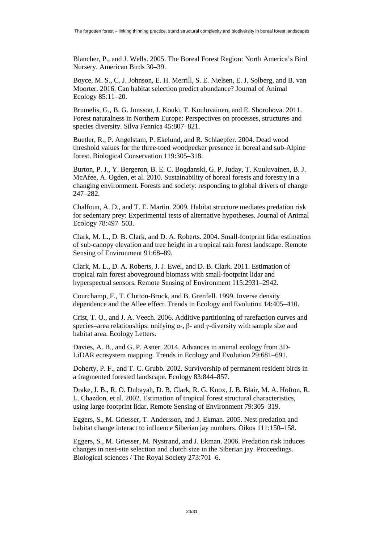Blancher, P., and J. Wells. 2005. The Boreal Forest Region: North America's Bird Nursery. American Birds 30–39.

Boyce, M. S., C. J. Johnson, E. H. Merrill, S. E. Nielsen, E. J. Solberg, and B. van Moorter. 2016. Can habitat selection predict abundance? Journal of Animal Ecology 85:11–20.

Brumelis, G., B. G. Jonsson, J. Kouki, T. Kuuluvainen, and E. Shorohova. 2011. Forest naturalness in Northern Europe: Perspectives on processes, structures and species diversity. Silva Fennica 45:807–821.

Buetler, R., P. Angelstam, P. Ekelund, and R. Schlaepfer. 2004. Dead wood threshold values for the three-toed woodpecker presence in boreal and sub-Alpine forest. Biological Conservation 119:305–318.

Burton, P. J., Y. Bergeron, B. E. C. Bogdanski, G. P. Juday, T. Kuuluvainen, B. J. McAfee, A. Ogden, et al. 2010. Sustainability of boreal forests and forestry in a changing environment. Forests and society: responding to global drivers of change 247–282.

Chalfoun, A. D., and T. E. Martin. 2009. Habitat structure mediates predation risk for sedentary prey: Experimental tests of alternative hypotheses. Journal of Animal Ecology 78:497–503.

Clark, M. L., D. B. Clark, and D. A. Roberts. 2004. Small-footprint lidar estimation of sub-canopy elevation and tree height in a tropical rain forest landscape. Remote Sensing of Environment 91:68–89.

Clark, M. L., D. A. Roberts, J. J. Ewel, and D. B. Clark. 2011. Estimation of tropical rain forest aboveground biomass with small-footprint lidar and hyperspectral sensors. Remote Sensing of Environment 115:2931–2942.

Courchamp, F., T. Clutton-Brock, and B. Grenfell. 1999. Inverse density dependence and the Allee effect. Trends in Ecology and Evolution 14:405–410.

Crist, T. O., and J. A. Veech. 2006. Additive partitioning of rarefaction curves and species–area relationships: unifying  $\alpha$ -,  $\beta$ - and  $\gamma$ -diversity with sample size and habitat area. Ecology Letters.

Davies, A. B., and G. P. Asner. 2014. Advances in animal ecology from 3D-LiDAR ecosystem mapping. Trends in Ecology and Evolution 29:681–691.

Doherty, P. F., and T. C. Grubb. 2002. Survivorship of permanent resident birds in a fragmented forested landscape. Ecology 83:844–857.

Drake, J. B., R. O. Dubayah, D. B. Clark, R. G. Knox, J. B. Blair, M. A. Hofton, R. L. Chazdon, et al. 2002. Estimation of tropical forest structural characteristics, using large-footprint lidar. Remote Sensing of Environment 79:305–319.

Eggers, S., M. Griesser, T. Andersson, and J. Ekman. 2005. Nest predation and habitat change interact to influence Siberian jay numbers. Oikos 111:150–158.

Eggers, S., M. Griesser, M. Nystrand, and J. Ekman. 2006. Predation risk induces changes in nest-site selection and clutch size in the Siberian jay. Proceedings. Biological sciences / The Royal Society 273:701–6.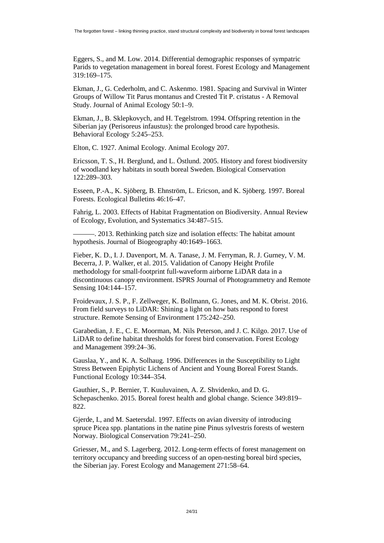Eggers, S., and M. Low. 2014. Differential demographic responses of sympatric Parids to vegetation management in boreal forest. Forest Ecology and Management 319:169–175.

Ekman, J., G. Cederholm, and C. Askenmo. 1981. Spacing and Survival in Winter Groups of Willow Tit Parus montanus and Crested Tit P. cristatus - A Removal Study. Journal of Animal Ecology 50:1–9.

Ekman, J., B. Sklepkovych, and H. Tegelstrom. 1994. Offspring retention in the Siberian jay (Perisoreus infaustus): the prolonged brood care hypothesis. Behavioral Ecology 5:245–253.

Elton, C. 1927. Animal Ecology. Animal Ecology 207.

Ericsson, T. S., H. Berglund, and L. Östlund. 2005. History and forest biodiversity of woodland key habitats in south boreal Sweden. Biological Conservation 122:289–303.

Esseen, P.-A., K. Sjöberg, B. Ehnström, L. Ericson, and K. Sjöberg. 1997. Boreal Forests. Ecological Bulletins 46:16–47.

Fahrig, L. 2003. Effects of Habitat Fragmentation on Biodiversity. Annual Review of Ecology, Evolution, and Systematics 34:487–515.

———. 2013. Rethinking patch size and isolation effects: The habitat amount hypothesis. Journal of Biogeography 40:1649–1663.

Fieber, K. D., I. J. Davenport, M. A. Tanase, J. M. Ferryman, R. J. Gurney, V. M. Becerra, J. P. Walker, et al. 2015. Validation of Canopy Height Profile methodology for small-footprint full-waveform airborne LiDAR data in a discontinuous canopy environment. ISPRS Journal of Photogrammetry and Remote Sensing 104:144–157.

Froidevaux, J. S. P., F. Zellweger, K. Bollmann, G. Jones, and M. K. Obrist. 2016. From field surveys to LiDAR: Shining a light on how bats respond to forest structure. Remote Sensing of Environment 175:242–250.

Garabedian, J. E., C. E. Moorman, M. Nils Peterson, and J. C. Kilgo. 2017. Use of LiDAR to define habitat thresholds for forest bird conservation. Forest Ecology and Management 399:24–36.

Gauslaa, Y., and K. A. Solhaug. 1996. Differences in the Susceptibility to Light Stress Between Epiphytic Lichens of Ancient and Young Boreal Forest Stands. Functional Ecology 10:344–354.

Gauthier, S., P. Bernier, T. Kuuluvainen, A. Z. Shvidenko, and D. G. Schepaschenko. 2015. Boreal forest health and global change. Science 349:819– 822.

Gjerde, I., and M. Saetersdal. 1997. Effects on avian diversity of introducing spruce Picea spp. plantations in the natine pine Pinus sylvestris forests of western Norway. Biological Conservation 79:241–250.

Griesser, M., and S. Lagerberg. 2012. Long-term effects of forest management on territory occupancy and breeding success of an open-nesting boreal bird species, the Siberian jay. Forest Ecology and Management 271:58–64.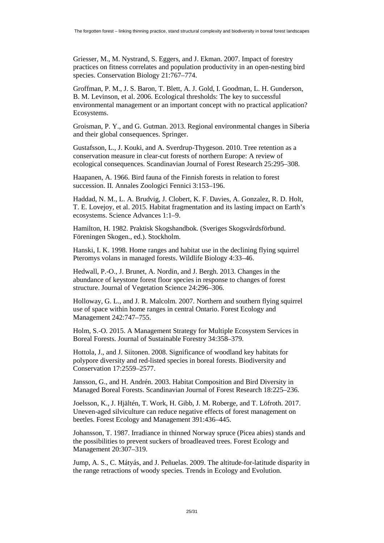Griesser, M., M. Nystrand, S. Eggers, and J. Ekman. 2007. Impact of forestry practices on fitness correlates and population productivity in an open-nesting bird species. Conservation Biology 21:767–774.

Groffman, P. M., J. S. Baron, T. Blett, A. J. Gold, I. Goodman, L. H. Gunderson, B. M. Levinson, et al. 2006. Ecological thresholds: The key to successful environmental management or an important concept with no practical application? Ecosystems.

Groisman, P. Y., and G. Gutman. 2013. Regional environmental changes in Siberia and their global consequences. Springer.

Gustafsson, L., J. Kouki, and A. Sverdrup-Thygeson. 2010. Tree retention as a conservation measure in clear-cut forests of northern Europe: A review of ecological consequences. Scandinavian Journal of Forest Research 25:295–308.

Haapanen, A. 1966. Bird fauna of the Finnish forests in relation to forest succession. II. Annales Zoologici Fennici 3:153–196.

Haddad, N. M., L. A. Brudvig, J. Clobert, K. F. Davies, A. Gonzalez, R. D. Holt, T. E. Lovejoy, et al. 2015. Habitat fragmentation and its lasting impact on Earth's ecosystems. Science Advances 1:1–9.

Hamilton, H. 1982. Praktisk Skogshandbok. (Sveriges Skogsvårdsförbund. Föreningen Skogen., ed.). Stockholm.

Hanski, I. K. 1998. Home ranges and habitat use in the declining flying squirrel Pteromys volans in managed forests. Wildlife Biology 4:33–46.

Hedwall, P.-O., J. Brunet, A. Nordin, and J. Bergh. 2013. Changes in the abundance of keystone forest floor species in response to changes of forest structure. Journal of Vegetation Science 24:296–306.

Holloway, G. L., and J. R. Malcolm. 2007. Northern and southern flying squirrel use of space within home ranges in central Ontario. Forest Ecology and Management 242:747–755.

Holm, S.-O. 2015. A Management Strategy for Multiple Ecosystem Services in Boreal Forests. Journal of Sustainable Forestry 34:358–379.

Hottola, J., and J. Siitonen. 2008. Significance of woodland key habitats for polypore diversity and red-listed species in boreal forests. Biodiversity and Conservation 17:2559–2577.

Jansson, G., and H. Andrén. 2003. Habitat Composition and Bird Diversity in Managed Boreal Forests. Scandinavian Journal of Forest Research 18:225–236.

Joelsson, K., J. Hjältén, T. Work, H. Gibb, J. M. Roberge, and T. Löfroth. 2017. Uneven-aged silviculture can reduce negative effects of forest management on beetles. Forest Ecology and Management 391:436–445.

Johansson, T. 1987. Irradiance in thinned Norway spruce (Picea abies) stands and the possibilities to prevent suckers of broadleaved trees. Forest Ecology and Management 20:307–319.

Jump, A. S., C. Mátyás, and J. Peñuelas. 2009. The altitude-for-latitude disparity in the range retractions of woody species. Trends in Ecology and Evolution.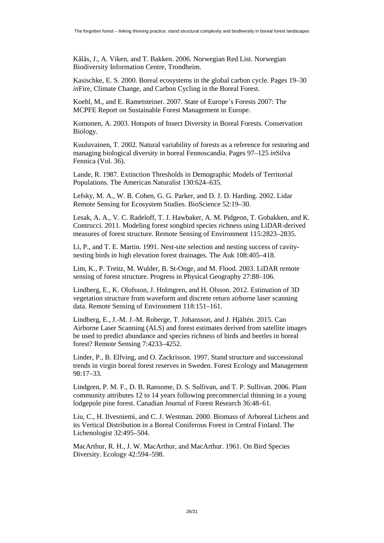Kålås, J., A. Viken, and T. Bakken. 2006. Norwegian Red List. Norwegian Biodiversity Information Centre, Trondheim.

Kasischke, E. S. 2000. Boreal ecosystems in the global carbon cycle. Pages 19–30 *in*Fire, Climate Change, and Carbon Cycling in the Boreal Forest.

Koehl, M., and E. Rametsteiner. 2007. State of Europe's Forests 2007: The MCPFE Report on Sustainable Forest Management in Europe.

Komonen, A. 2003. Hotspots of Insect Diversity in Boreal Forests. Conservation Biology.

Kuuluvainen, T. 2002. Natural variability of forests as a reference for restoring and managing biological diversity in boreal Fennoscandia. Pages 97–125 *in*Silva Fennica (Vol. 36).

Lande, R. 1987. Extinction Thresholds in Demographic Models of Territorial Populations. The American Naturalist 130:624–635.

Lefsky, M. A., W. B. Cohen, G. G. Parker, and D. J. D. Harding. 2002. Lidar Remote Sensing for Ecosystem Studies. BioScience 52:19–30.

Lesak, A. A., V. C. Radeloff, T. J. Hawbaker, A. M. Pidgeon, T. Gobakken, and K. Contrucci. 2011. Modeling forest songbird species richness using LiDAR-derived measures of forest structure. Remote Sensing of Environment 115:2823–2835.

Li, P., and T. E. Martin. 1991. Nest-site selection and nesting success of cavitynesting birds in high elevation forest drainages. The Auk 108:405–418.

Lim, K., P. Treitz, M. Wulder, B. St-Onge, and M. Flood. 2003. LiDAR remote sensing of forest structure. Progress in Physical Geography 27:88–106.

Lindberg, E., K. Olofsson, J. Holmgren, and H. Olsson. 2012. Estimation of 3D vegetation structure from waveform and discrete return airborne laser scanning data. Remote Sensing of Environment 118:151–161.

Lindberg, E., J.-M. J.-M. Roberge, T. Johansson, and J. Hjältén. 2015. Can Airborne Laser Scanning (ALS) and forest estimates derived from satellite images be used to predict abundance and species richness of birds and beetles in boreal forest? Remote Sensing 7:4233–4252.

Linder, P., B. Elfving, and O. Zackrisson. 1997. Stand structure and successional trends in virgin boreal forest reserves in Sweden. Forest Ecology and Management 98:17–33.

Lindgren, P. M. F., D. B. Ransome, D. S. Sullivan, and T. P. Sullivan. 2006. Plant community attributes 12 to 14 years following precommercial thinning in a young lodgepole pine forest. Canadian Journal of Forest Research 36:48–61.

Liu, C., H. Ilvesniemi, and C. J. Westman. 2000. Biomass of Arboreal Lichens and its Vertical Distribution in a Boreal Coniferous Forest in Central Finland. The Lichenologist 32:495–504.

MacArthur, R. H., J. W. MacArthur, and MacArthur. 1961. On Bird Species Diversity. Ecology 42:594–598.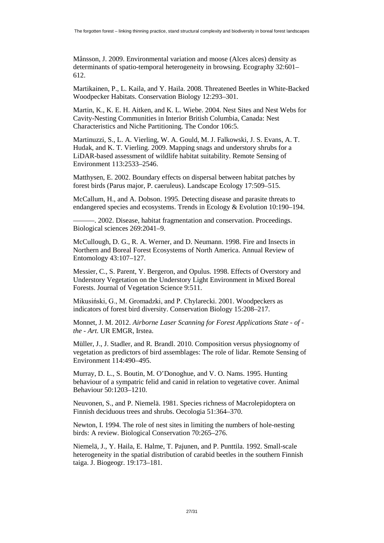Månsson, J. 2009. Environmental variation and moose (Alces alces) density as determinants of spatio-temporal heterogeneity in browsing. Ecography 32:601– 612.

Martikainen, P., L. Kaila, and Y. Haila. 2008. Threatened Beetles in White-Backed Woodpecker Habitats. Conservation Biology 12:293–301.

Martin, K., K. E. H. Aitken, and K. L. Wiebe. 2004. Nest Sites and Nest Webs for Cavity-Nesting Communities in Interior British Columbia, Canada: Nest Characteristics and Niche Partitioning. The Condor 106:5.

Martinuzzi, S., L. A. Vierling, W. A. Gould, M. J. Falkowski, J. S. Evans, A. T. Hudak, and K. T. Vierling. 2009. Mapping snags and understory shrubs for a LiDAR-based assessment of wildlife habitat suitability. Remote Sensing of Environment 113:2533–2546.

Matthysen, E. 2002. Boundary effects on dispersal between habitat patches by forest birds (Parus major, P. caeruleus). Landscape Ecology 17:509–515.

McCallum, H., and A. Dobson. 1995. Detecting disease and parasite threats to endangered species and ecosystems. Trends in Ecology & Evolution 10:190–194.

———. 2002. Disease, habitat fragmentation and conservation. Proceedings. Biological sciences 269:2041–9.

McCullough, D. G., R. A. Werner, and D. Neumann. 1998. Fire and Insects in Northern and Boreal Forest Ecosystems of North America. Annual Review of Entomology 43:107–127.

Messier, C., S. Parent, Y. Bergeron, and Opulus. 1998. Effects of Overstory and Understory Vegetation on the Understory Light Environment in Mixed Boreal Forests. Journal of Vegetation Science 9:511.

Mikusiński, G., M. Gromadzki, and P. Chylarecki. 2001. Woodpeckers as indicators of forest bird diversity. Conservation Biology 15:208–217.

Monnet, J. M. 2012. *Airborne Laser Scanning for Forest Applications State - of the - Art*. UR EMGR, Irstea.

Müller, J., J. Stadler, and R. Brandl. 2010. Composition versus physiognomy of vegetation as predictors of bird assemblages: The role of lidar. Remote Sensing of Environment 114:490–495.

Murray, D. L., S. Boutin, M. O'Donoghue, and V. O. Nams. 1995. Hunting behaviour of a sympatric felid and canid in relation to vegetative cover. Animal Behaviour 50:1203–1210.

Neuvonen, S., and P. Niemelä. 1981. Species richness of Macrolepidoptera on Finnish deciduous trees and shrubs. Oecologia 51:364–370.

Newton, I. 1994. The role of nest sites in limiting the numbers of hole-nesting birds: A review. Biological Conservation 70:265–276.

Niemelä, J., Y. Haila, E. Halme, T. Pajunen, and P. Punttila. 1992. Small-scale heterogeneity in the spatial distribution of carabid beetles in the southern Finnish taiga. J. Biogeogr. 19:173–181.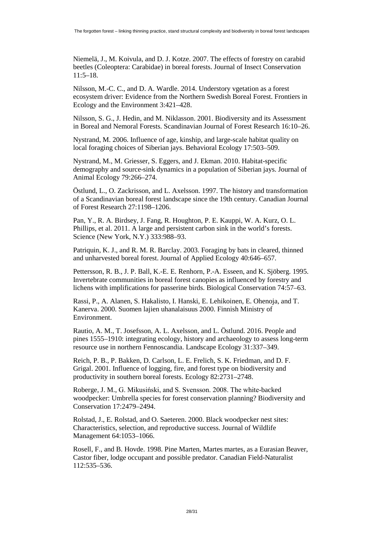Niemelä, J., M. Koivula, and D. J. Kotze. 2007. The effects of forestry on carabid beetles (Coleoptera: Carabidae) in boreal forests. Journal of Insect Conservation 11:5–18.

Nilsson, M.-C. C., and D. A. Wardle. 2014. Understory vgetation as a forest ecosystem driver: Evidence from the Northern Swedish Boreal Forest. Frontiers in Ecology and the Environment 3:421–428.

Nilsson, S. G., J. Hedin, and M. Niklasson. 2001. Biodiversity and its Assessment in Boreal and Nemoral Forests. Scandinavian Journal of Forest Research 16:10–26.

Nystrand, M. 2006. Influence of age, kinship, and large-scale habitat quality on local foraging choices of Siberian jays. Behavioral Ecology 17:503–509.

Nystrand, M., M. Griesser, S. Eggers, and J. Ekman. 2010. Habitat-specific demography and source-sink dynamics in a population of Siberian jays. Journal of Animal Ecology 79:266–274.

Östlund, L., O. Zackrisson, and L. Axelsson. 1997. The history and transformation of a Scandinavian boreal forest landscape since the 19th century. Canadian Journal of Forest Research 27:1198–1206.

Pan, Y., R. A. Birdsey, J. Fang, R. Houghton, P. E. Kauppi, W. A. Kurz, O. L. Phillips, et al. 2011. A large and persistent carbon sink in the world's forests. Science (New York, N.Y.) 333:988–93.

Patriquin, K. J., and R. M. R. Barclay. 2003. Foraging by bats in cleared, thinned and unharvested boreal forest. Journal of Applied Ecology 40:646–657.

Pettersson, R. B., J. P. Ball, K.-E. E. Renhorn, P.-A. Esseen, and K. Sjöberg. 1995. Invertebrate communities in boreal forest canopies as influenced by forestry and lichens with implifications for passerine birds. Biological Conservation 74:57–63.

Rassi, P., A. Alanen, S. Hakalisto, I. Hanski, E. Lehikoinen, E. Ohenoja, and T. Kanerva. 2000. Suomen lajien uhanalaisuus 2000. Finnish Ministry of Environment.

Rautio, A. M., T. Josefsson, A. L. Axelsson, and L. Östlund. 2016. People and pines 1555–1910: integrating ecology, history and archaeology to assess long-term resource use in northern Fennoscandia. Landscape Ecology 31:337–349.

Reich, P. B., P. Bakken, D. Carlson, L. E. Frelich, S. K. Friedman, and D. F. Grigal. 2001. Influence of logging, fire, and forest type on biodiversity and productivity in southern boreal forests. Ecology 82:2731–2748.

Roberge, J. M., G. Mikusiński, and S. Svensson. 2008. The white-backed woodpecker: Umbrella species for forest conservation planning? Biodiversity and Conservation 17:2479–2494.

Rolstad, J., E. Rolstad, and O. Saeteren. 2000. Black woodpecker nest sites: Characteristics, selection, and reproductive success. Journal of Wildlife Management 64:1053–1066.

Rosell, F., and B. Hovde. 1998. Pine Marten, Martes martes, as a Eurasian Beaver, Castor fiber, lodge occupant and possible predator. Canadian Field-Naturalist 112:535–536.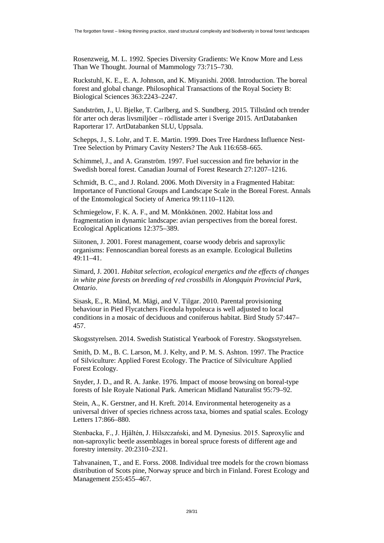Rosenzweig, M. L. 1992. Species Diversity Gradients: We Know More and Less Than We Thought. Journal of Mammology 73:715–730.

Ruckstuhl, K. E., E. A. Johnson, and K. Miyanishi. 2008. Introduction. The boreal forest and global change. Philosophical Transactions of the Royal Society B: Biological Sciences 363:2243–2247.

Sandström, J., U. Bjelke, T. Carlberg, and S. Sundberg. 2015. Tillstånd och trender för arter och deras livsmiljöer – rödlistade arter i Sverige 2015. ArtDatabanken Raporterar 17. ArtDatabanken SLU, Uppsala.

Schepps, J., S. Lohr, and T. E. Martin. 1999. Does Tree Hardness Influence Nest-Tree Selection by Primary Cavity Nesters? The Auk 116:658–665.

Schimmel, J., and A. Granström. 1997. Fuel succession and fire behavior in the Swedish boreal forest. Canadian Journal of Forest Research 27:1207–1216.

Schmidt, B. C., and J. Roland. 2006. Moth Diversity in a Fragmented Habitat: Importance of Functional Groups and Landscape Scale in the Boreal Forest. Annals of the Entomological Society of America 99:1110–1120.

Schmiegelow, F. K. A. F., and M. Mönkkönen. 2002. Habitat loss and fragmentation in dynamic landscape: avian perspectives from the boreal forest. Ecological Applications 12:375–389.

Siitonen, J. 2001. Forest management, coarse woody debris and saproxylic organisms: Fennoscandian boreal forests as an example. Ecological Bulletins 49:11–41.

Simard, J. 2001. *Habitat selection, ecological energetics and the effects of changes in white pine forests on breeding of red crossbills in Alongquin Provincial Park, Ontario*.

Sisask, E., R. Mänd, M. Mägi, and V. Tilgar. 2010. Parental provisioning behaviour in Pied Flycatchers Ficedula hypoleuca is well adjusted to local conditions in a mosaic of deciduous and coniferous habitat. Bird Study 57:447– 457.

Skogsstyrelsen. 2014. Swedish Statistical Yearbook of Forestry. Skogsstyrelsen.

Smith, D. M., B. C. Larson, M. J. Kelty, and P. M. S. Ashton. 1997. The Practice of Silviculture: Applied Forest Ecology. The Practice of Silviculture Applied Forest Ecology.

Snyder, J. D., and R. A. Janke. 1976. Impact of moose browsing on boreal-type forests of Isle Royale National Park. American Midland Naturalist 95:79–92.

Stein, A., K. Gerstner, and H. Kreft. 2014. Environmental heterogeneity as a universal driver of species richness across taxa, biomes and spatial scales. Ecology Letters 17:866–880.

Stenbacka, F., J. Hjältén, J. Hilszczański, and M. Dynesius. 2015. Saproxylic and non-saproxylic beetle assemblages in boreal spruce forests of different age and forestry intensity. 20:2310–2321.

Tahvanainen, T., and E. Forss. 2008. Individual tree models for the crown biomass distribution of Scots pine, Norway spruce and birch in Finland. Forest Ecology and Management 255:455–467.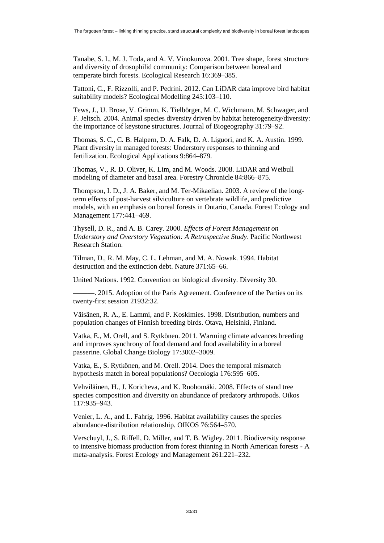Tanabe, S. I., M. J. Toda, and A. V. Vinokurova. 2001. Tree shape, forest structure and diversity of drosophilid community: Comparison between boreal and temperate birch forests. Ecological Research 16:369–385.

Tattoni, C., F. Rizzolli, and P. Pedrini. 2012. Can LiDAR data improve bird habitat suitability models? Ecological Modelling 245:103–110.

Tews, J., U. Brose, V. Grimm, K. Tielbörger, M. C. Wichmann, M. Schwager, and F. Jeltsch. 2004. Animal species diversity driven by habitat heterogeneity/diversity: the importance of keystone structures. Journal of Biogeography 31:79–92.

Thomas, S. C., C. B. Halpern, D. A. Falk, D. A. Liguori, and K. A. Austin. 1999. Plant diversity in managed forests: Understory responses to thinning and fertilization. Ecological Applications 9:864–879.

Thomas, V., R. D. Oliver, K. Lim, and M. Woods. 2008. LiDAR and Weibull modeling of diameter and basal area. Forestry Chronicle 84:866–875.

Thompson, I. D., J. A. Baker, and M. Ter-Mikaelian. 2003. A review of the longterm effects of post-harvest silviculture on vertebrate wildlife, and predictive models, with an emphasis on boreal forests in Ontario, Canada. Forest Ecology and Management 177:441–469.

Thysell, D. R., and A. B. Carey. 2000. *Effects of Forest Management on Understory and Overstory Vegetation: A Retrospective Study*. Pacific Northwest Research Station.

Tilman, D., R. M. May, C. L. Lehman, and M. A. Nowak. 1994. Habitat destruction and the extinction debt. Nature 371:65–66.

United Nations. 1992. Convention on biological diversity. Diversity 30.

———. 2015. Adoption of the Paris Agreement. Conference of the Parties on its twenty-first session 21932:32.

Väisänen, R. A., E. Lammi, and P. Koskimies. 1998. Distribution, numbers and population changes of Finnish breeding birds. Otava, Helsinki, Finland.

Vatka, E., M. Orell, and S. Rytkönen. 2011. Warming climate advances breeding and improves synchrony of food demand and food availability in a boreal passerine. Global Change Biology 17:3002–3009.

Vatka, E., S. Rytkönen, and M. Orell. 2014. Does the temporal mismatch hypothesis match in boreal populations? Oecologia 176:595–605.

Vehviläinen, H., J. Koricheva, and K. Ruohomäki. 2008. Effects of stand tree species composition and diversity on abundance of predatory arthropods. Oikos 117:935–943.

Venier, L. A., and L. Fahrig. 1996. Habitat availability causes the species abundance-distribution relationship. OIKOS 76:564–570.

Verschuyl, J., S. Riffell, D. Miller, and T. B. Wigley. 2011. Biodiversity response to intensive biomass production from forest thinning in North American forests - A meta-analysis. Forest Ecology and Management 261:221–232.